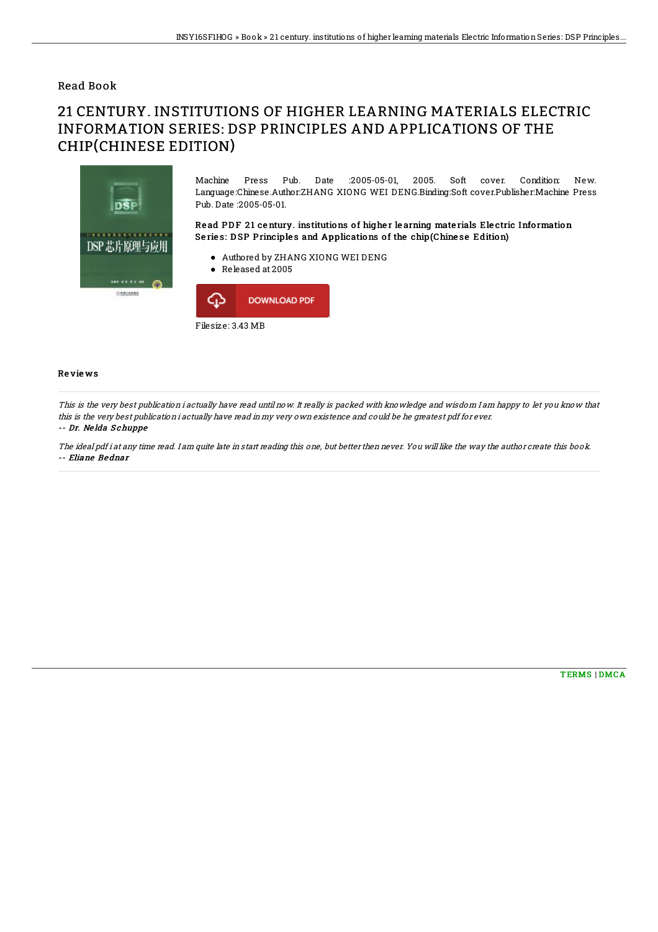## Read Book

## 21 CENTURY. INSTITUTIONS OF HIGHER LEARNING MATERIALS ELECTRIC INFORMATION SERIES: DSP PRINCIPLES AND APPLICATIONS OF THE CHIP(CHINESE EDITION)



Machine Press Pub. Date :2005-05-01, 2005. Soft cover. Condition: New. Language:Chinese.Author:ZHANG XIONG WEI DENG.Binding:Soft cover.Publisher:Machine Press Pub. Date :2005-05-01.

Read PDF 21 century. institutions of higher learning materials Electric Information Series: DSP Principles and Applications of the chip(Chinese Edition)

- Authored by ZHANG XIONG WEI DENG
- Released at 2005



## Re vie ws

This is the very best publication i actually have read until now. It really is packed with knowledge and wisdom I am happy to let you know that this is the very best publication i actually have read in my very own existence and could be he greatest pdf for ever. -- Dr. Ne lda S chuppe

The ideal pdf i at any time read. I am quite late in start reading this one, but better then never. You will like the way the author create this book. -- Eliane Bednar